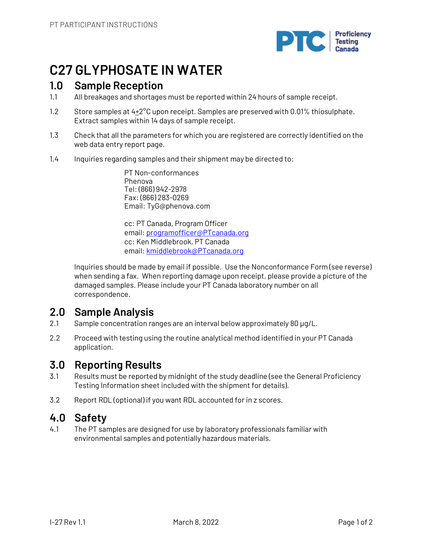

## **C27 GLYPHOSATE IN WATER**

## **1.0 Sample Reception**

- 1.1 All breakages and shortages must be reported within 24 hours of sample receipt.
- 1.2 Store samples at  $4+2^{\circ}C$  upon receipt. Samples are preserved with 0.01% thiosulphate. Extract samples within 14 days of sample receipt.
- 1.3 Check that all the parameters for which you are registered are correctly identified on the web data entry report page.
- 1.4 Inquiries regarding samples and their shipment may be directed to:

PT Non-conformances Phenova Tel: (866) 942-2978 Fax: (866) 283-0269 Email: TyG@phenova.com

cc: PT Canada, Program Officer email: programofficer@PTcanada.org cc: Ken Middlebrook, PT Canada email: kmiddlebrook@PTcanada.org

Inquiries should be made by email if possible. Use the Nonconformance Form (see reverse) when sending a fax. When reporting damage upon receipt, please provide a picture of the damaged samples. Please include your PT Canada laboratory number on all correspondence.

## **2.0 Sample Analysis**

- 2.1 Sample concentration ranges are an interval below approximately 80 µg/L.
- 2.2 Proceed with testing using the routine analytical method identified in your PT Canada application.

## **3.0 Reporting Results**

- 3.1 Results must be reported by midnight of the study deadline (see the General Proficiency Testing Information sheet included with the shipment for details).
- 3.2 Report RDL (optional) if you want RDL accounted for in z scores.

## **4.0 Safety**

4.1 The PT samples are designed for use by laboratory professionals familiar with environmental samples and potentially hazardous materials.